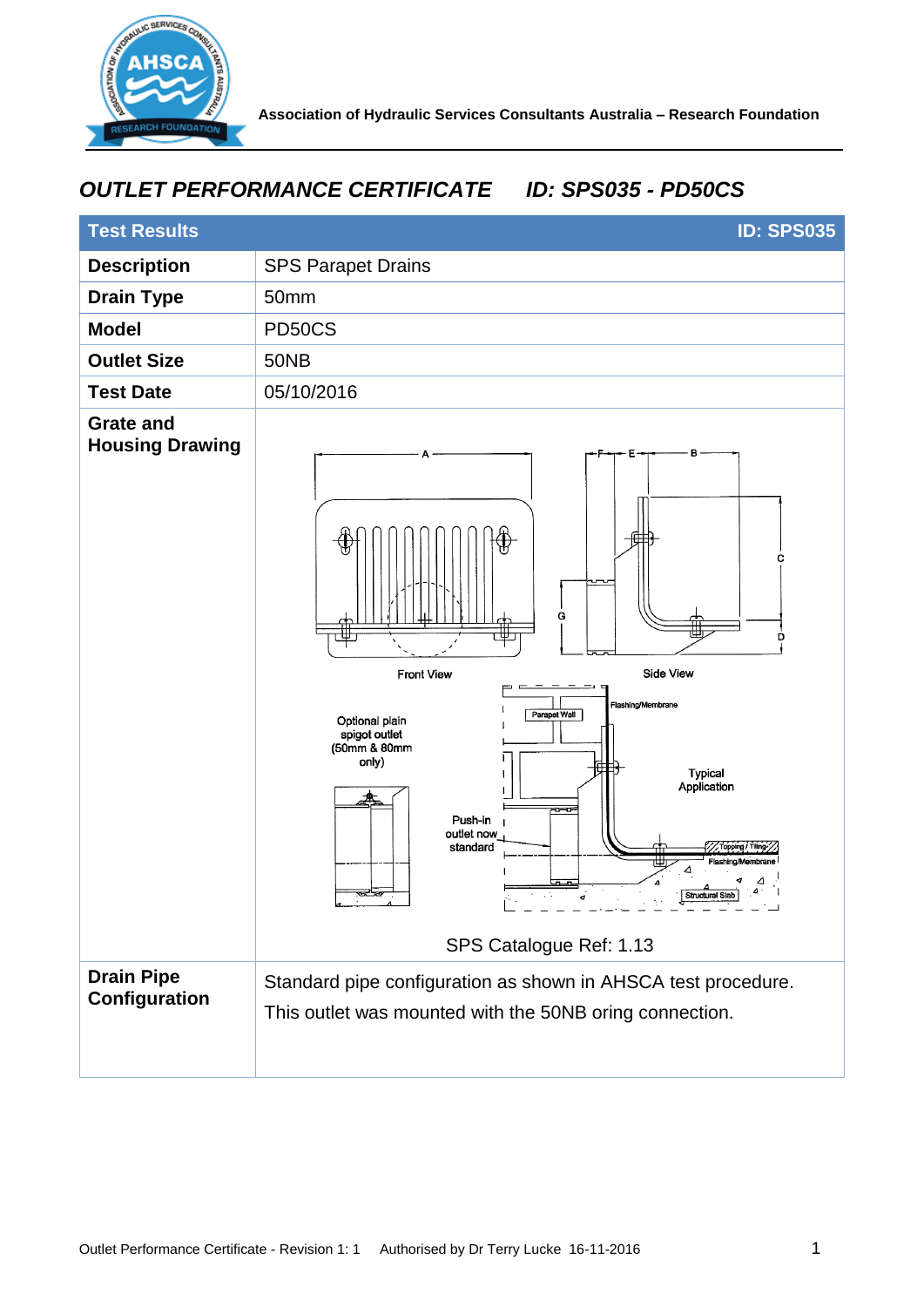

## *OUTLET PERFORMANCE CERTIFICATE ID: SPS035 - PD50CS*

| <b>Test Results</b>                        | <b>ID: SPS035</b>                                                                                                                                                                                                                                                                                                                       |
|--------------------------------------------|-----------------------------------------------------------------------------------------------------------------------------------------------------------------------------------------------------------------------------------------------------------------------------------------------------------------------------------------|
| <b>Description</b>                         | <b>SPS Parapet Drains</b>                                                                                                                                                                                                                                                                                                               |
| <b>Drain Type</b>                          | 50mm                                                                                                                                                                                                                                                                                                                                    |
| <b>Model</b>                               | PD50CS                                                                                                                                                                                                                                                                                                                                  |
| <b>Outlet Size</b>                         | <b>50NB</b>                                                                                                                                                                                                                                                                                                                             |
| <b>Test Date</b>                           | 05/10/2016                                                                                                                                                                                                                                                                                                                              |
| <b>Grate and</b><br><b>Housing Drawing</b> | в<br>Е<br>с<br>G<br>n<br><b>Side View</b><br><b>Front View</b><br>Flashing/Membrane<br>Parapet Wall<br>Optional plain<br>spigot outlet<br>(50mm & 80mm<br>only)<br><b>Typical</b><br>Application<br>ᇚ<br>Push-in<br>outlet now<br>Topping / Tiling<br>standard<br>Flashing/Membrane<br>ತತ<br>Structural Slab<br>SPS Catalogue Ref: 1.13 |
| <b>Drain Pipe</b><br><b>Configuration</b>  | Standard pipe configuration as shown in AHSCA test procedure.<br>This outlet was mounted with the 50NB oring connection.                                                                                                                                                                                                                |
|                                            |                                                                                                                                                                                                                                                                                                                                         |